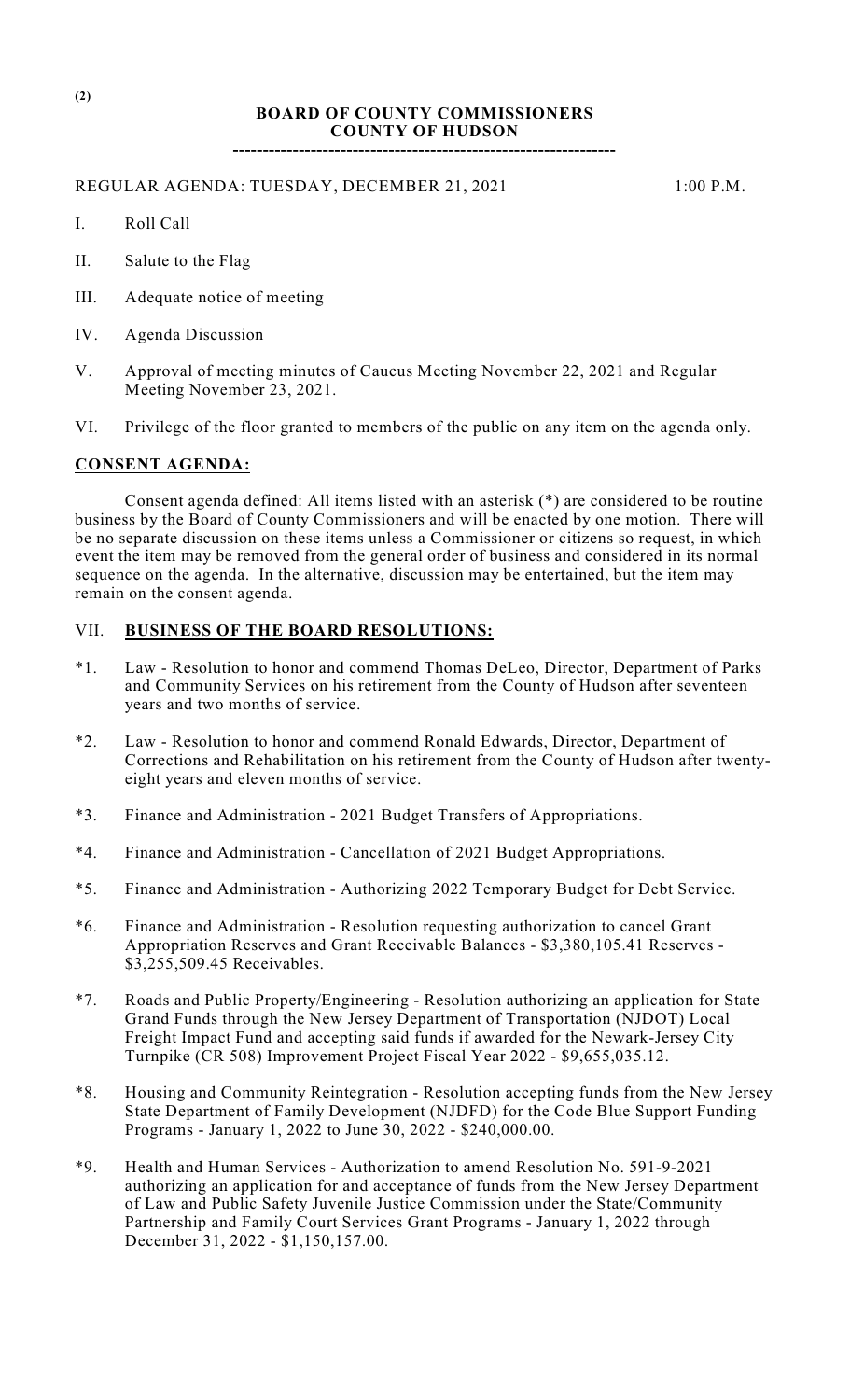# **BOARD OF COUNTY COMMISSIONERS COUNTY OF HUDSON**

**----------------------------------------------------------------**

#### REGULAR AGENDA: TUESDAY, DECEMBER 21, 2021 1:00 P.M.

- I. Roll Call
- II. Salute to the Flag
- III. Adequate notice of meeting
- IV. Agenda Discussion
- V. Approval of meeting minutes of Caucus Meeting November 22, 2021 and Regular Meeting November 23, 2021.
- VI. Privilege of the floor granted to members of the public on any item on the agenda only.

# **CONSENT AGENDA:**

Consent agenda defined: All items listed with an asterisk (\*) are considered to be routine business by the Board of County Commissioners and will be enacted by one motion. There will be no separate discussion on these items unless a Commissioner or citizens so request, in which event the item may be removed from the general order of business and considered in its normal sequence on the agenda. In the alternative, discussion may be entertained, but the item may remain on the consent agenda.

# VII. **BUSINESS OF THE BOARD RESOLUTIONS:**

- \*1. Law Resolution to honor and commend Thomas DeLeo, Director, Department of Parks and Community Services on his retirement from the County of Hudson after seventeen years and two months of service.
- \*2. Law Resolution to honor and commend Ronald Edwards, Director, Department of Corrections and Rehabilitation on his retirement from the County of Hudson after twentyeight years and eleven months of service.
- \*3. Finance and Administration 2021 Budget Transfers of Appropriations.
- \*4. Finance and Administration Cancellation of 2021 Budget Appropriations.
- \*5. Finance and Administration Authorizing 2022 Temporary Budget for Debt Service.
- \*6. Finance and Administration Resolution requesting authorization to cancel Grant Appropriation Reserves and Grant Receivable Balances - \$3,380,105.41 Reserves - \$3,255,509.45 Receivables.
- \*7. Roads and Public Property/Engineering Resolution authorizing an application for State Grand Funds through the New Jersey Department of Transportation (NJDOT) Local Freight Impact Fund and accepting said funds if awarded for the Newark-Jersey City Turnpike (CR 508) Improvement Project Fiscal Year 2022 - \$9,655,035.12.
- \*8. Housing and Community Reintegration Resolution accepting funds from the New Jersey State Department of Family Development (NJDFD) for the Code Blue Support Funding Programs - January 1, 2022 to June 30, 2022 - \$240,000.00.
- \*9. Health and Human Services Authorization to amend Resolution No. 591-9-2021 authorizing an application for and acceptance of funds from the New Jersey Department of Law and Public Safety Juvenile Justice Commission under the State/Community Partnership and Family Court Services Grant Programs - January 1, 2022 through December 31, 2022 - \$1,150,157.00.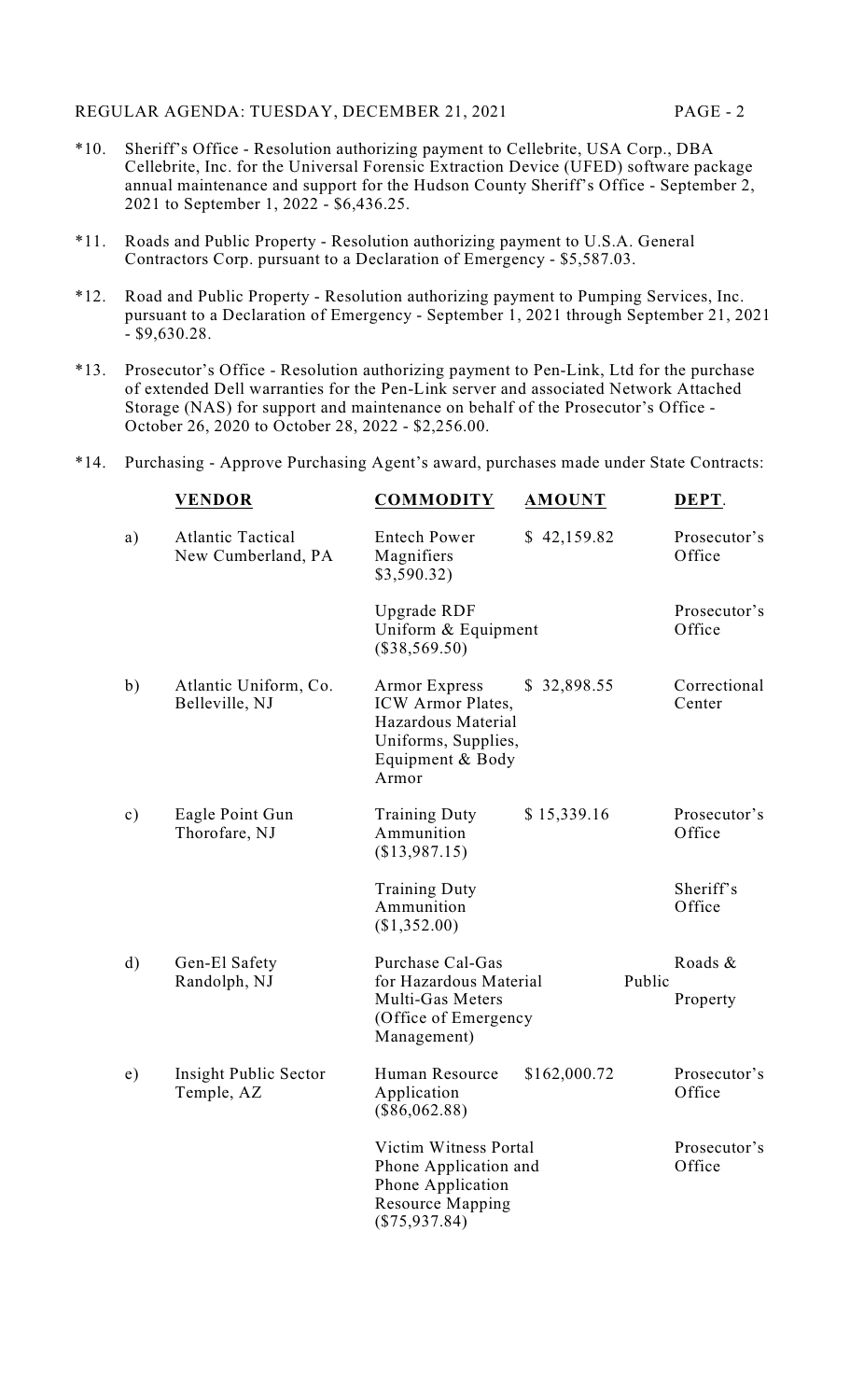- \*10. Sheriff's Office Resolution authorizing payment to Cellebrite, USA Corp., DBA Cellebrite, Inc. for the Universal Forensic Extraction Device (UFED) software package annual maintenance and support for the Hudson County Sheriff's Office - September 2, 2021 to September 1, 2022 - \$6,436.25.
- \*11. Roads and Public Property Resolution authorizing payment to U.S.A. General Contractors Corp. pursuant to a Declaration of Emergency - \$5,587.03.
- \*12. Road and Public Property Resolution authorizing payment to Pumping Services, Inc. pursuant to a Declaration of Emergency - September 1, 2021 through September 21, 2021 - \$9,630.28.
- \*13. Prosecutor's Office Resolution authorizing payment to Pen-Link, Ltd for the purchase of extended Dell warranties for the Pen-Link server and associated Network Attached Storage (NAS) for support and maintenance on behalf of the Prosecutor's Office - October 26, 2020 to October 28, 2022 - \$2,256.00.
- \*14. Purchasing Approve Purchasing Agent's award, purchases made under State Contracts:

|               | <b>VENDOR</b>                                  | <b>COMMODITY</b>                                                                                                    | <b>AMOUNT</b> | DEPT.                  |
|---------------|------------------------------------------------|---------------------------------------------------------------------------------------------------------------------|---------------|------------------------|
| a)            | <b>Atlantic Tactical</b><br>New Cumberland, PA | <b>Entech Power</b><br>Magnifiers<br>\$3,590.32)                                                                    | \$42,159.82   | Prosecutor's<br>Office |
|               |                                                | Upgrade RDF<br>Uniform & Equipment<br>$(\$38,569.50)$                                                               |               | Prosecutor's<br>Office |
| b)            | Atlantic Uniform, Co.<br>Belleville, NJ        | <b>Armor Express</b><br>ICW Armor Plates,<br>Hazardous Material<br>Uniforms, Supplies,<br>Equipment & Body<br>Armor | \$32,898.55   | Correctional<br>Center |
| $\mathbf{c})$ | Eagle Point Gun<br>Thorofare, NJ               | <b>Training Duty</b><br>Ammunition<br>(\$13,987.15)                                                                 | \$15,339.16   | Prosecutor's<br>Office |
|               |                                                | <b>Training Duty</b><br>Ammunition<br>(\$1,352.00)                                                                  |               | Sheriff's<br>Office    |
| $\rm d)$      | Gen-El Safety                                  | Purchase Cal-Gas                                                                                                    |               | Roads &                |
|               | Randolph, NJ                                   | for Hazardous Material<br>Multi-Gas Meters<br>(Office of Emergency<br>Management)                                   | Public        | Property               |
| e)            | Insight Public Sector<br>Temple, AZ            | Human Resource<br>Application<br>$(\$86,062.88)$                                                                    | \$162,000.72  | Prosecutor's<br>Office |
|               |                                                | Victim Witness Portal<br>Phone Application and<br>Phone Application<br><b>Resource Mapping</b><br>$(\$75,937.84)$   |               | Prosecutor's<br>Office |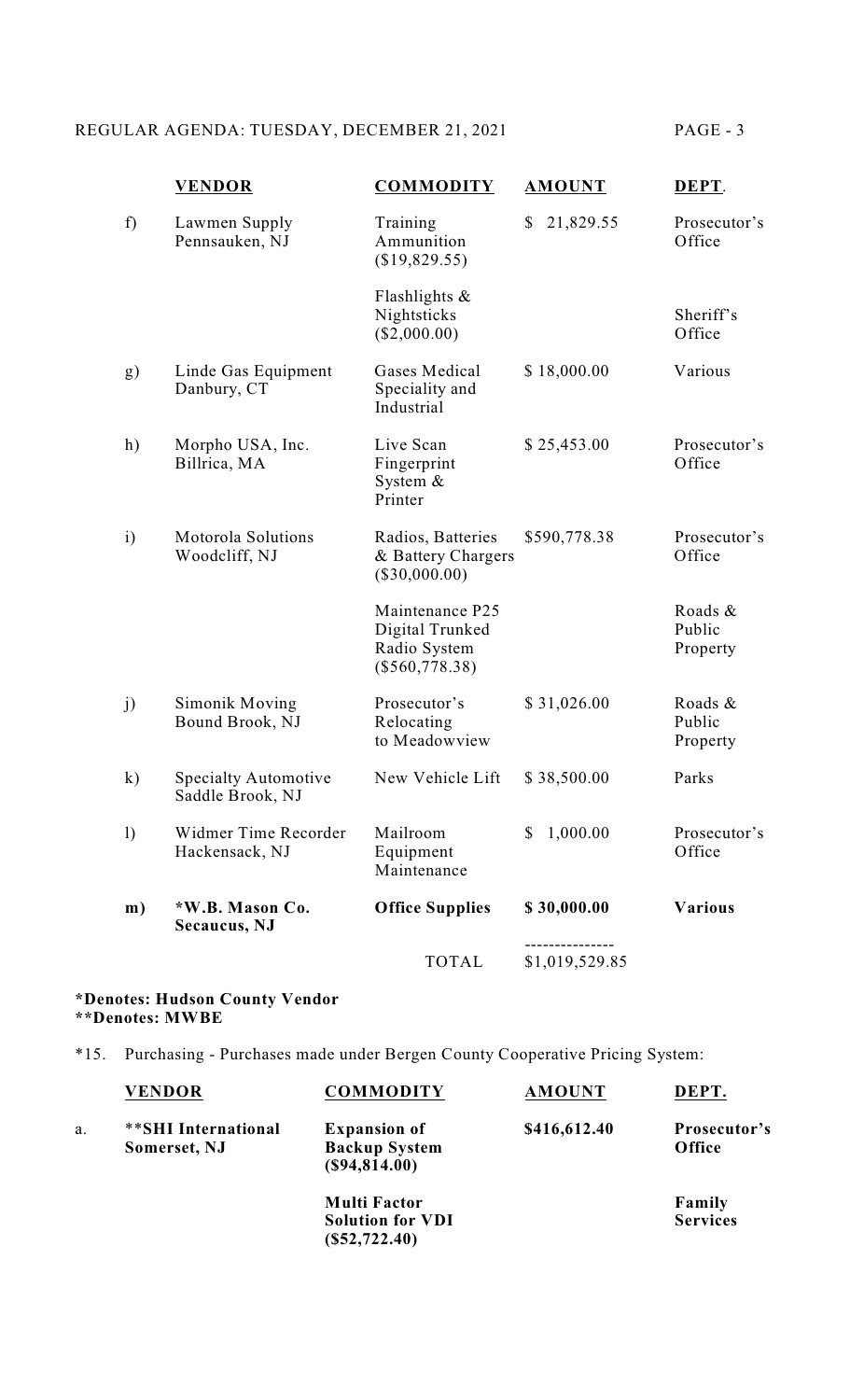# REGULAR AGENDA: TUESDAY, DECEMBER 21, 2021 PAGE - 3

|                  | <b>VENDOR</b>                                   | <b>COMMODITY</b>                                                       | <b>AMOUNT</b>  | DEPT.                         |
|------------------|-------------------------------------------------|------------------------------------------------------------------------|----------------|-------------------------------|
| f)               | Lawmen Supply<br>Pennsauken, NJ                 | Training<br>Ammunition<br>(\$19,829.55)                                | 21,829.55<br>S | Prosecutor's<br>Office        |
|                  |                                                 | Flashlights $\&$<br>Nightsticks<br>$(\$2,000.00)$                      |                | Sheriff's<br>Office           |
| g)               | Linde Gas Equipment<br>Danbury, CT              | Gases Medical<br>Speciality and<br>Industrial                          | \$18,000.00    | Various                       |
| h)               | Morpho USA, Inc.<br>Billrica, MA                | Live Scan<br>Fingerprint<br>System $&$<br>Printer                      | \$25,453.00    | Prosecutor's<br>Office        |
| $\mathbf{i}$     | Motorola Solutions<br>Woodcliff, NJ             | Radios, Batteries<br>& Battery Chargers<br>$(\$30,000.00)$             | \$590,778.38   | Prosecutor's<br>Office        |
|                  |                                                 | Maintenance P25<br>Digital Trunked<br>Radio System<br>$(\$560,778.38)$ |                | Roads &<br>Public<br>Property |
| j)               | Simonik Moving<br>Bound Brook, NJ               | Prosecutor's<br>Relocating<br>to Meadowview                            | \$31,026.00    | Roads &<br>Public<br>Property |
| $\bf k)$         | <b>Specialty Automotive</b><br>Saddle Brook, NJ | New Vehicle Lift                                                       | \$38,500.00    | Parks                         |
| $\left( \right)$ | Widmer Time Recorder<br>Hackensack, NJ          | Mailroom<br>Equipment<br>Maintenance                                   | 1,000.00<br>\$ | Prosecutor's<br>Office        |
| m)               | *W.B. Mason Co.<br><b>Secaucus</b> , NJ         | <b>Office Supplies</b>                                                 | \$30,000.00    | <b>Various</b>                |
|                  |                                                 | <b>TOTAL</b>                                                           | \$1,019,529.85 |                               |

#### **\*Denotes: Hudson County Vendor \*\*Denotes: MWBE**

\*15. Purchasing - Purchases made under Bergen County Cooperative Pricing System:

|    | <b>VENDOR</b>                       | <b>COMMODITY</b>                                                  | <b>AMOUNT</b> | DEPT.                     |
|----|-------------------------------------|-------------------------------------------------------------------|---------------|---------------------------|
| a. | **SHI International<br>Somerset, NJ | <b>Expansion of</b><br><b>Backup System</b><br>(S94, 814.00)      | \$416,612.40  | Prosecutor's<br>Office    |
|    |                                     | <b>Multi Factor</b><br><b>Solution for VDI</b><br>$(\$52,722.40)$ |               | Family<br><b>Services</b> |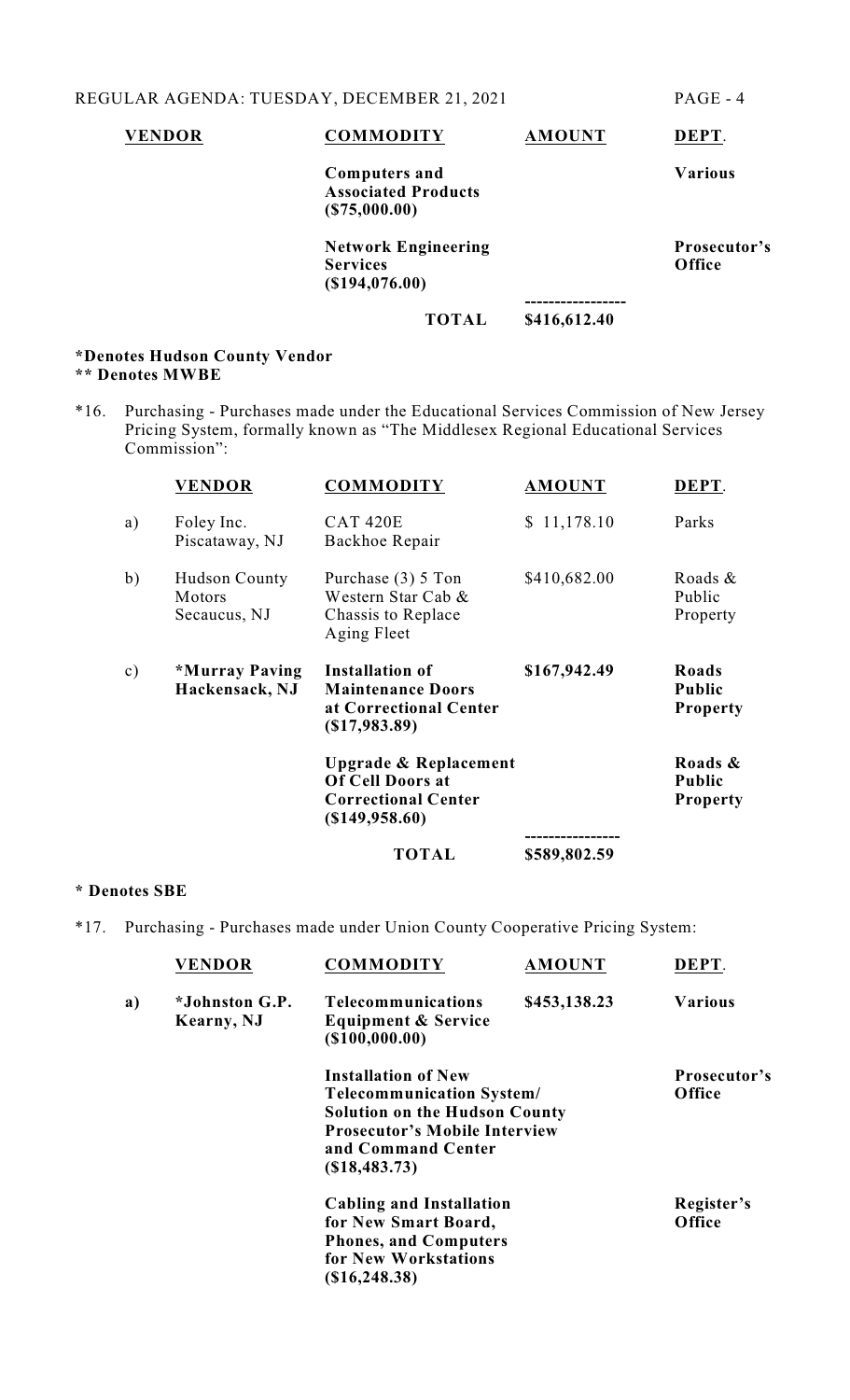| <b>VENDOR</b> | <b>COMMODITY</b>                                                   | <b>AMOUNT</b> | DEPT.                  |
|---------------|--------------------------------------------------------------------|---------------|------------------------|
|               | <b>Computers and</b><br><b>Associated Products</b><br>(S75,000.00) |               | <b>Various</b>         |
|               | <b>Network Engineering</b><br><b>Services</b><br>$($ \$194,076.00) |               | Prosecutor's<br>Office |
|               | <b>TOTAL</b>                                                       | \$416,612.40  |                        |
|               |                                                                    |               |                        |

#### **\*Denotes Hudson County Vendor \*\* Denotes MWBE**

\*16. Purchasing - Purchases made under the Educational Services Commission of New Jersey Pricing System, formally known as "The Middlesex Regional Educational Services Commission":

|               | <b>VENDOR</b>                                  | <b>COMMODITY</b>                                                                                            | <b>AMOUNT</b>               | DEPT.                                       |
|---------------|------------------------------------------------|-------------------------------------------------------------------------------------------------------------|-----------------------------|---------------------------------------------|
| a)            | Foley Inc.<br>Piscataway, NJ                   | <b>CAT 420E</b><br>Backhoe Repair                                                                           | \$11,178.10                 | Parks                                       |
| b)            | <b>Hudson County</b><br>Motors<br>Secaucus, NJ | Purchase $(3)$ 5 Ton<br>Western Star Cab &<br>Chassis to Replace<br>Aging Fleet                             | \$410,682.00                | Roads &<br>Public<br>Property               |
| $\mathbf{c})$ | *Murray Paving<br>Hackensack, NJ               | Installation of<br><b>Maintenance Doors</b><br>at Correctional Center<br>$(\$17,983.89)$                    | \$167,942.49                | Roads<br>Public<br><b>Property</b>          |
|               |                                                | <b>Upgrade &amp; Replacement</b><br><b>Of Cell Doors at</b><br><b>Correctional Center</b><br>(\$149,958.60) |                             | Roads &<br><b>Public</b><br><b>Property</b> |
|               |                                                | TOTAL                                                                                                       | -----------<br>\$589,802.59 |                                             |

# **\* Denotes SBE**

\*17. Purchasing - Purchases made under Union County Cooperative Pricing System:

|    | <b>VENDOR</b>                       | <b>COMMODITY</b>                                                                                                                                                                       | <b>AMOUNT</b> | DEPT.                  |
|----|-------------------------------------|----------------------------------------------------------------------------------------------------------------------------------------------------------------------------------------|---------------|------------------------|
| a) | <i>*Johnston G.P.</i><br>Kearny, NJ | <b>Telecommunications</b><br><b>Equipment &amp; Service</b><br>$($ \$100,000.00)                                                                                                       | \$453,138.23  | <b>Various</b>         |
|    |                                     | <b>Installation of New</b><br><b>Telecommunication System/</b><br><b>Solution on the Hudson County</b><br><b>Prosecutor's Mobile Interview</b><br>and Command Center<br>(S18, 483, 73) |               | Prosecutor's<br>Office |
|    |                                     | <b>Cabling and Installation</b><br>for New Smart Board,<br><b>Phones, and Computers</b><br>for New Workstations<br>(\$16,248.38)                                                       |               | Register's<br>Office   |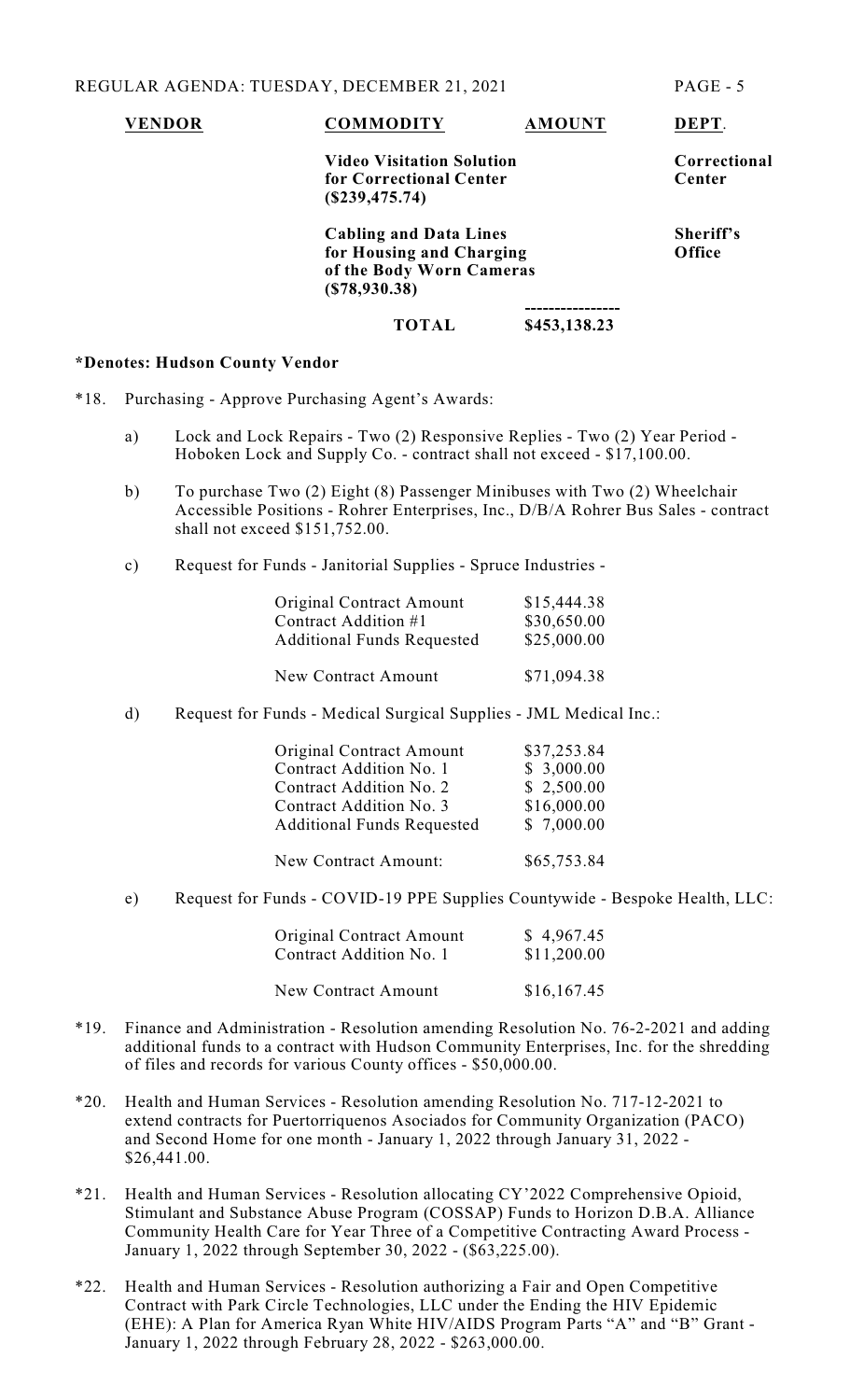#### **VENDOR COMMODITY AMOUNT DEPT**.

# **Video Visitation Solution**<br> **Solution**<br> **Solution**<br> **Solution**<br> **Center for Correctional Center (\$239,475.74)**

**Cabling and Data Lines Sheriff's for Housing and Charging Office of the Body Worn Cameras (\$78,930.38)**

#### **---------------- TOTAL \$453,138.23**

#### **\*Denotes: Hudson County Vendor**

- \*18. Purchasing Approve Purchasing Agent's Awards:
	- a) Lock and Lock Repairs Two (2) Responsive Replies Two (2) Year Period Hoboken Lock and Supply Co. - contract shall not exceed - \$17,100.00.
	- b) To purchase Two (2) Eight (8) Passenger Minibuses with Two (2) Wheelchair Accessible Positions - Rohrer Enterprises, Inc., D/B/A Rohrer Bus Sales - contract shall not exceed \$151,752.00.
	- c) Request for Funds Janitorial Supplies Spruce Industries -

| <b>Original Contract Amount</b>   | \$15,444.38 |
|-----------------------------------|-------------|
| Contract Addition #1              | \$30,650.00 |
| <b>Additional Funds Requested</b> | \$25,000.00 |
|                                   |             |

New Contract Amount \$71,094.38

d) Request for Funds - Medical Surgical Supplies - JML Medical Inc.:

| Original Contract Amount          | \$37,253.84 |
|-----------------------------------|-------------|
| Contract Addition No. 1           | \$3,000.00  |
| Contract Addition No. 2           | \$2,500.00  |
| Contract Addition No. 3           | \$16,000.00 |
| <b>Additional Funds Requested</b> | \$7,000.00  |
|                                   |             |
| New Contract Amount:              | \$65,753.84 |

e) Request for Funds - COVID-19 PPE Supplies Countywide - Bespoke Health, LLC:

| <b>Original Contract Amount</b> | \$4,967.45  |
|---------------------------------|-------------|
| Contract Addition No. 1         | \$11,200.00 |
|                                 |             |

- New Contract Amount \$16,167.45
- \*19. Finance and Administration Resolution amending Resolution No. 76-2-2021 and adding additional funds to a contract with Hudson Community Enterprises, Inc. for the shredding of files and records for various County offices - \$50,000.00.
- \*20. Health and Human Services Resolution amending Resolution No. 717-12-2021 to extend contracts for Puertorriquenos Asociados for Community Organization (PACO) and Second Home for one month - January 1, 2022 through January 31, 2022 - \$26,441.00.
- \*21. Health and Human Services Resolution allocating CY'2022 Comprehensive Opioid, Stimulant and Substance Abuse Program (COSSAP) Funds to Horizon D.B.A. Alliance Community Health Care for Year Three of a Competitive Contracting Award Process - January 1, 2022 through September 30, 2022 - (\$63,225.00).
- \*22. Health and Human Services Resolution authorizing a Fair and Open Competitive Contract with Park Circle Technologies, LLC under the Ending the HIV Epidemic (EHE): A Plan for America Ryan White HIV/AIDS Program Parts "A" and "B" Grant - January 1, 2022 through February 28, 2022 - \$263,000.00.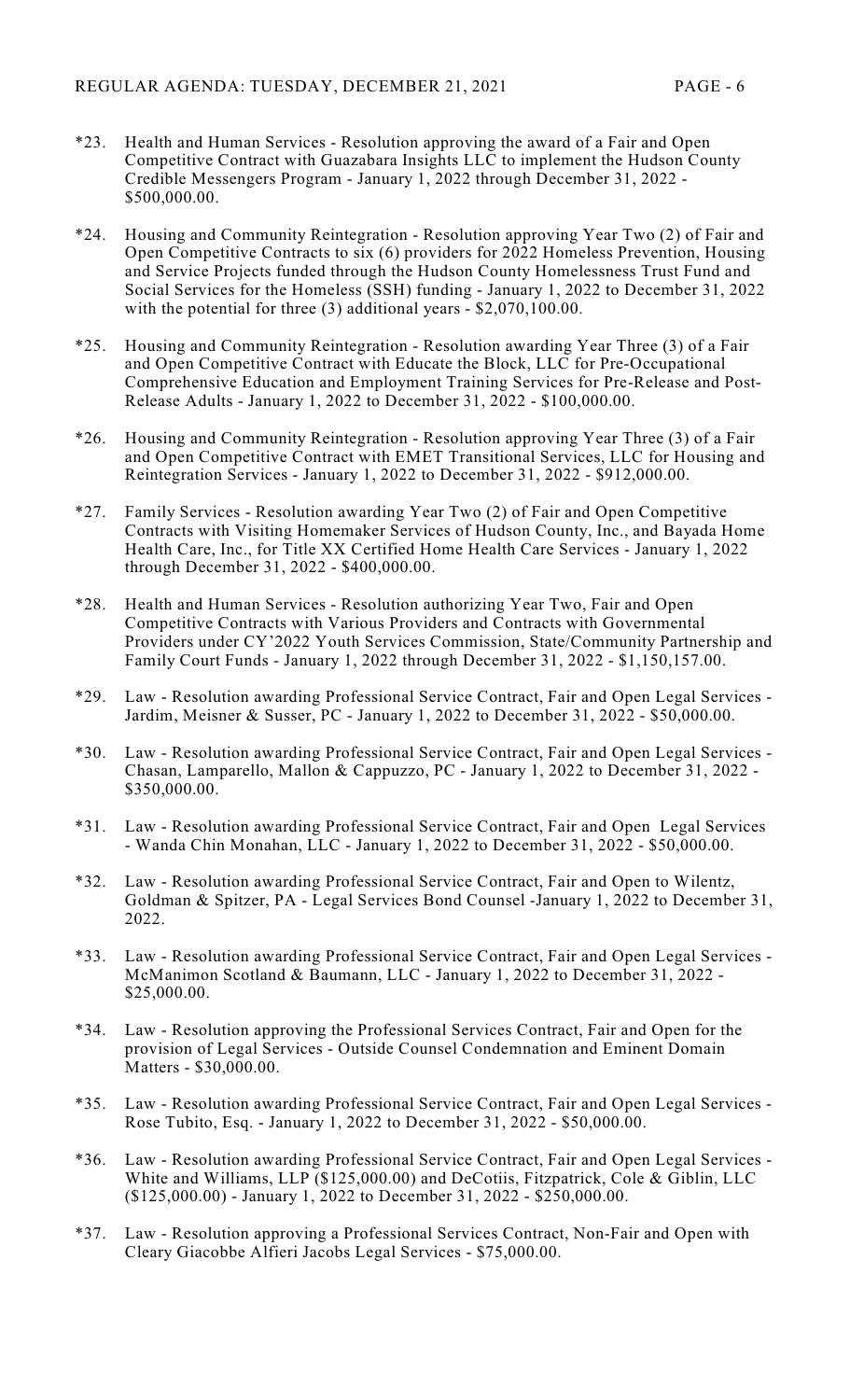- \*23. Health and Human Services Resolution approving the award of a Fair and Open Competitive Contract with Guazabara Insights LLC to implement the Hudson County Credible Messengers Program - January 1, 2022 through December 31, 2022 - \$500,000.00.
- \*24. Housing and Community Reintegration Resolution approving Year Two (2) of Fair and Open Competitive Contracts to six (6) providers for 2022 Homeless Prevention, Housing and Service Projects funded through the Hudson County Homelessness Trust Fund and Social Services for the Homeless (SSH) funding - January 1, 2022 to December 31, 2022 with the potential for three (3) additional years - \$2,070,100.00.
- \*25. Housing and Community Reintegration Resolution awarding Year Three (3) of a Fair and Open Competitive Contract with Educate the Block, LLC for Pre-Occupational Comprehensive Education and Employment Training Services for Pre-Release and Post-Release Adults - January 1, 2022 to December 31, 2022 - \$100,000.00.
- \*26. Housing and Community Reintegration Resolution approving Year Three (3) of a Fair and Open Competitive Contract with EMET Transitional Services, LLC for Housing and Reintegration Services - January 1, 2022 to December 31, 2022 - \$912,000.00.
- \*27. Family Services Resolution awarding Year Two (2) of Fair and Open Competitive Contracts with Visiting Homemaker Services of Hudson County, Inc., and Bayada Home Health Care, Inc., for Title XX Certified Home Health Care Services - January 1, 2022 through December 31, 2022 - \$400,000.00.
- \*28. Health and Human Services Resolution authorizing Year Two, Fair and Open Competitive Contracts with Various Providers and Contracts with Governmental Providers under CY'2022 Youth Services Commission, State/Community Partnership and Family Court Funds - January 1, 2022 through December 31, 2022 - \$1,150,157.00.
- \*29. Law Resolution awarding Professional Service Contract, Fair and Open Legal Services Jardim, Meisner & Susser, PC - January 1, 2022 to December 31, 2022 - \$50,000.00.
- \*30. Law Resolution awarding Professional Service Contract, Fair and Open Legal Services Chasan, Lamparello, Mallon & Cappuzzo, PC - January 1, 2022 to December 31, 2022 - \$350,000.00.
- \*31. Law Resolution awarding Professional Service Contract, Fair and Open Legal Services - Wanda Chin Monahan, LLC - January 1, 2022 to December 31, 2022 - \$50,000.00.
- \*32. Law Resolution awarding Professional Service Contract, Fair and Open to Wilentz, Goldman & Spitzer, PA - Legal Services Bond Counsel -January 1, 2022 to December 31, 2022.
- \*33. Law Resolution awarding Professional Service Contract, Fair and Open Legal Services McManimon Scotland & Baumann, LLC - January 1, 2022 to December 31, 2022 - \$25,000.00.
- \*34. Law Resolution approving the Professional Services Contract, Fair and Open for the provision of Legal Services - Outside Counsel Condemnation and Eminent Domain Matters - \$30,000.00.
- \*35. Law Resolution awarding Professional Service Contract, Fair and Open Legal Services Rose Tubito, Esq. - January 1, 2022 to December 31, 2022 - \$50,000.00.
- \*36. Law Resolution awarding Professional Service Contract, Fair and Open Legal Services White and Williams, LLP (\$125,000.00) and DeCotiis, Fitzpatrick, Cole & Giblin, LLC (\$125,000.00) - January 1, 2022 to December 31, 2022 - \$250,000.00.
- \*37. Law Resolution approving a Professional Services Contract, Non-Fair and Open with Cleary Giacobbe Alfieri Jacobs Legal Services - \$75,000.00.